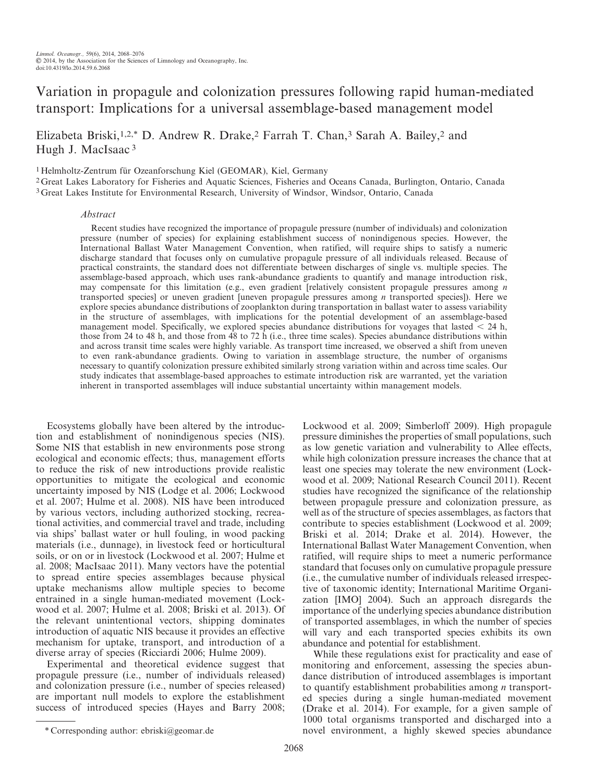# Variation in propagule and colonization pressures following rapid human-mediated transport: Implications for a universal assemblage-based management model

Elizabeta Briski,<sup>1,2,\*</sup> D. Andrew R. Drake,<sup>2</sup> Farrah T. Chan,<sup>3</sup> Sarah A. Bailey,<sup>2</sup> and Hugh J. MacIsaac 3

<sup>1</sup> Helmholtz-Zentrum für Ozeanforschung Kiel (GEOMAR), Kiel, Germany

2Great Lakes Laboratory for Fisheries and Aquatic Sciences, Fisheries and Oceans Canada, Burlington, Ontario, Canada 3Great Lakes Institute for Environmental Research, University of Windsor, Windsor, Ontario, Canada

# Abstract

Recent studies have recognized the importance of propagule pressure (number of individuals) and colonization pressure (number of species) for explaining establishment success of nonindigenous species. However, the International Ballast Water Management Convention, when ratified, will require ships to satisfy a numeric discharge standard that focuses only on cumulative propagule pressure of all individuals released. Because of practical constraints, the standard does not differentiate between discharges of single vs. multiple species. The assemblage-based approach, which uses rank-abundance gradients to quantify and manage introduction risk, may compensate for this limitation (e.g., even gradient [relatively consistent propagule pressures among  $n$ transported species] or uneven gradient [uneven propagule pressures among  $n$  transported species]). Here we explore species abundance distributions of zooplankton during transportation in ballast water to assess variability in the structure of assemblages, with implications for the potential development of an assemblage-based management model. Specifically, we explored species abundance distributions for voyages that lasted  $<$  24 h, those from 24 to 48 h, and those from 48 to 72 h (i.e., three time scales). Species abundance distributions within and across transit time scales were highly variable. As transport time increased, we observed a shift from uneven to even rank-abundance gradients. Owing to variation in assemblage structure, the number of organisms necessary to quantify colonization pressure exhibited similarly strong variation within and across time scales. Our study indicates that assemblage-based approaches to estimate introduction risk are warranted, yet the variation inherent in transported assemblages will induce substantial uncertainty within management models.

Ecosystems globally have been altered by the introduction and establishment of nonindigenous species (NIS). Some NIS that establish in new environments pose strong ecological and economic effects; thus, management efforts to reduce the risk of new introductions provide realistic opportunities to mitigate the ecological and economic uncertainty imposed by NIS (Lodge et al. 2006; Lockwood et al. 2007; Hulme et al. 2008). NIS have been introduced by various vectors, including authorized stocking, recreational activities, and commercial travel and trade, including via ships' ballast water or hull fouling, in wood packing materials (i.e., dunnage), in livestock feed or horticultural soils, or on or in livestock (Lockwood et al. 2007; Hulme et al. 2008; MacIsaac 2011). Many vectors have the potential to spread entire species assemblages because physical uptake mechanisms allow multiple species to become entrained in a single human-mediated movement (Lockwood et al. 2007; Hulme et al. 2008; Briski et al. 2013). Of the relevant unintentional vectors, shipping dominates introduction of aquatic NIS because it provides an effective mechanism for uptake, transport, and introduction of a diverse array of species (Ricciardi 2006; Hulme 2009).

Experimental and theoretical evidence suggest that propagule pressure (i.e., number of individuals released) and colonization pressure (i.e., number of species released) are important null models to explore the establishment success of introduced species (Hayes and Barry 2008; Lockwood et al. 2009; Simberloff 2009). High propagule pressure diminishes the properties of small populations, such as low genetic variation and vulnerability to Allee effects, while high colonization pressure increases the chance that at least one species may tolerate the new environment (Lockwood et al. 2009; National Research Council 2011). Recent studies have recognized the significance of the relationship between propagule pressure and colonization pressure, as well as of the structure of species assemblages, as factors that contribute to species establishment (Lockwood et al. 2009; Briski et al. 2014; Drake et al. 2014). However, the International Ballast Water Management Convention, when ratified, will require ships to meet a numeric performance standard that focuses only on cumulative propagule pressure (i.e., the cumulative number of individuals released irrespective of taxonomic identity; International Maritime Organization [IMO] 2004). Such an approach disregards the importance of the underlying species abundance distribution of transported assemblages, in which the number of species will vary and each transported species exhibits its own abundance and potential for establishment.

While these regulations exist for practicality and ease of monitoring and enforcement, assessing the species abundance distribution of introduced assemblages is important to quantify establishment probabilities among n transported species during a single human-mediated movement (Drake et al. 2014). For example, for a given sample of 1000 total organisms transported and discharged into a \* Corresponding author: ebriski@geomar.de novel environment, a highly skewed species abundance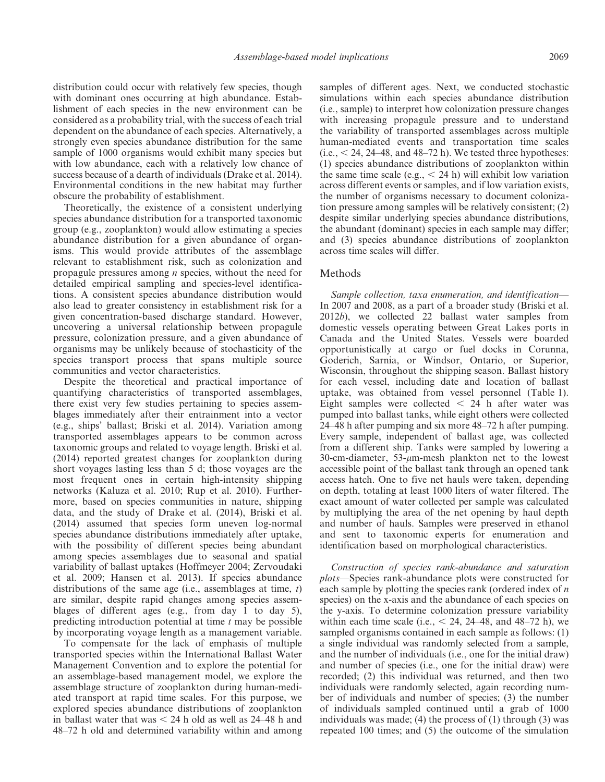distribution could occur with relatively few species, though with dominant ones occurring at high abundance. Establishment of each species in the new environment can be considered as a probability trial, with the success of each trial dependent on the abundance of each species. Alternatively, a strongly even species abundance distribution for the same sample of 1000 organisms would exhibit many species but with low abundance, each with a relatively low chance of success because of a dearth of individuals (Drake et al. 2014). Environmental conditions in the new habitat may further obscure the probability of establishment.

Theoretically, the existence of a consistent underlying species abundance distribution for a transported taxonomic group (e.g., zooplankton) would allow estimating a species abundance distribution for a given abundance of organisms. This would provide attributes of the assemblage relevant to establishment risk, such as colonization and propagule pressures among n species, without the need for detailed empirical sampling and species-level identifications. A consistent species abundance distribution would also lead to greater consistency in establishment risk for a given concentration-based discharge standard. However, uncovering a universal relationship between propagule pressure, colonization pressure, and a given abundance of organisms may be unlikely because of stochasticity of the species transport process that spans multiple source communities and vector characteristics.

Despite the theoretical and practical importance of quantifying characteristics of transported assemblages, there exist very few studies pertaining to species assemblages immediately after their entrainment into a vector (e.g., ships' ballast; Briski et al. 2014). Variation among transported assemblages appears to be common across taxonomic groups and related to voyage length. Briski et al. (2014) reported greatest changes for zooplankton during short voyages lasting less than 5 d; those voyages are the most frequent ones in certain high-intensity shipping networks (Kaluza et al. 2010; Rup et al. 2010). Furthermore, based on species communities in nature, shipping data, and the study of Drake et al. (2014), Briski et al. (2014) assumed that species form uneven log-normal species abundance distributions immediately after uptake, with the possibility of different species being abundant among species assemblages due to seasonal and spatial variability of ballast uptakes (Hoffmeyer 2004; Zervoudaki et al. 2009; Hansen et al. 2013). If species abundance distributions of the same age (i.e., assemblages at time,  $t$ ) are similar, despite rapid changes among species assemblages of different ages (e.g., from day 1 to day 5), predicting introduction potential at time  $t$  may be possible by incorporating voyage length as a management variable.

To compensate for the lack of emphasis of multiple transported species within the International Ballast Water Management Convention and to explore the potential for an assemblage-based management model, we explore the assemblage structure of zooplankton during human-mediated transport at rapid time scales. For this purpose, we explored species abundance distributions of zooplankton in ballast water that was  $<$  24 h old as well as 24–48 h and 48–72 h old and determined variability within and among samples of different ages. Next, we conducted stochastic simulations within each species abundance distribution (i.e., sample) to interpret how colonization pressure changes with increasing propagule pressure and to understand the variability of transported assemblages across multiple human-mediated events and transportation time scales  $(i.e., < 24, 24–48, and 48–72 h)$ . We tested three hypotheses: (1) species abundance distributions of zooplankton within the same time scale (e.g.,  $\lt 24$  h) will exhibit low variation across different events or samples, and if low variation exists, the number of organisms necessary to document colonization pressure among samples will be relatively consistent; (2) despite similar underlying species abundance distributions, the abundant (dominant) species in each sample may differ; and (3) species abundance distributions of zooplankton across time scales will differ.

# Methods

Sample collection, taxa enumeration, and identification— In 2007 and 2008, as a part of a broader study (Briski et al. 2012b), we collected 22 ballast water samples from domestic vessels operating between Great Lakes ports in Canada and the United States. Vessels were boarded opportunistically at cargo or fuel docks in Corunna, Goderich, Sarnia, or Windsor, Ontario, or Superior, Wisconsin, throughout the shipping season. Ballast history for each vessel, including date and location of ballast uptake, was obtained from vessel personnel (Table 1). Eight samples were collected  $\langle 24 \rangle$  h after water was pumped into ballast tanks, while eight others were collected 24–48 h after pumping and six more 48–72 h after pumping. Every sample, independent of ballast age, was collected from a different ship. Tanks were sampled by lowering a 30-cm-diameter,  $53$ - $\mu$ m-mesh plankton net to the lowest accessible point of the ballast tank through an opened tank access hatch. One to five net hauls were taken, depending on depth, totaling at least 1000 liters of water filtered. The exact amount of water collected per sample was calculated by multiplying the area of the net opening by haul depth and number of hauls. Samples were preserved in ethanol and sent to taxonomic experts for enumeration and identification based on morphological characteristics.

Construction of species rank-abundance and saturation plots—Species rank-abundance plots were constructed for each sample by plotting the species rank (ordered index of  $n$ ) species) on the x-axis and the abundance of each species on the y-axis. To determine colonization pressure variability within each time scale (i.e.,  $\lt 24$ , 24–48, and 48–72 h), we sampled organisms contained in each sample as follows: (1) a single individual was randomly selected from a sample, and the number of individuals (i.e., one for the initial draw) and number of species (i.e., one for the initial draw) were recorded; (2) this individual was returned, and then two individuals were randomly selected, again recording number of individuals and number of species; (3) the number of individuals sampled continued until a grab of 1000 individuals was made; (4) the process of (1) through (3) was repeated 100 times; and (5) the outcome of the simulation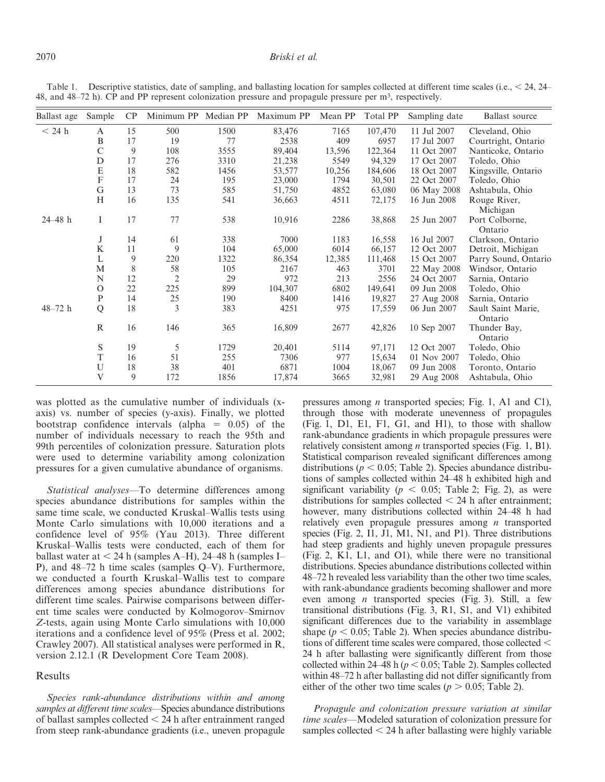#### 2070 Briski et al.

| Ballast age    | Sample       | CP | Minimum PP     | Median PP | Maximum PP | Mean PP | Total PP | Sampling date | <b>Ballast</b> source         |
|----------------|--------------|----|----------------|-----------|------------|---------|----------|---------------|-------------------------------|
| $<$ 24 $\rm h$ | A            | 15 | 500            | 1500      | 83,476     | 7165    | 107,470  | 11 Jul 2007   | Cleveland, Ohio               |
|                | $\, {\bf B}$ | 17 | 19             | 77        | 2538       | 409     | 6957     | 17 Jul 2007   | Courtright, Ontario           |
|                | С            | 9  | 108            | 3555      | 89,404     | 13,596  | 122,364  | 11 Oct 2007   | Nanticoke, Ontario            |
|                | $\mathbf D$  | 17 | 276            | 3310      | 21,238     | 5549    | 94,329   | 17 Oct 2007   | Toledo, Ohio                  |
|                | E            | 18 | 582            | 1456      | 53,577     | 10,256  | 184,606  | 18 Oct 2007   | Kingsville, Ontario           |
|                | $\mathbf{F}$ | 17 | 24             | 195       | 23,000     | 1794    | 30,501   | 22 Oct 2007   | Toledo, Ohio                  |
|                | G            | 13 | 73             | 585       | 51,750     | 4852    | 63,080   | 06 May 2008   | Ashtabula, Ohio               |
|                | H            | 16 | 135            | 541       | 36,663     | 4511    | 72,175   | 16 Jun 2008   | Rouge River,<br>Michigan      |
| $24 - 48$ h    | I            | 17 | 77             | 538       | 10,916     | 2286    | 38,868   | 25 Jun 2007   | Port Colborne,<br>Ontario     |
|                | J            | 14 | 61             | 338       | 7000       | 1183    | 16,558   | 16 Jul 2007   | Clarkson, Ontario             |
|                | $\rm K$      | 11 | 9              | 104       | 65,000     | 6014    | 66,157   | 12 Oct 2007   | Detroit, Michigan             |
|                | L            | 9  | 220            | 1322      | 86,354     | 12,385  | 111,468  | 15 Oct 2007   | Parry Sound, Ontario          |
|                | M            | 8  | 58             | 105       | 2167       | 463     | 3701     | 22 May 2008   | Windsor, Ontario              |
|                | N            | 12 | $\overline{2}$ | 29        | 972        | 213     | 2556     | 24 Oct 2007   | Sarnia, Ontario               |
|                | $\Omega$     | 22 | 225            | 899       | 104,307    | 6802    | 149,641  | 09 Jun 2008   | Toledo, Ohio                  |
|                | $\mathbf{P}$ | 14 | 25             | 190       | 8400       | 1416    | 19,827   | 27 Aug 2008   | Sarnia, Ontario               |
| $48 - 72 h$    | Q            | 18 | 3              | 383       | 4251       | 975     | 17,559   | 06 Jun 2007   | Sault Saint Marie,<br>Ontario |
|                | $\mathbb{R}$ | 16 | 146            | 365       | 16,809     | 2677    | 42,826   | 10 Sep 2007   | Thunder Bay,<br>Ontario       |
|                | $\mathbf S$  | 19 | 5              | 1729      | 20,401     | 5114    | 97,171   | 12 Oct 2007   | Toledo, Ohio                  |
|                | T            | 16 | 51             | 255       | 7306       | 977     | 15,634   | 01 Nov 2007   | Toledo, Ohio                  |
|                | U            | 18 | 38             | 401       | 6871       | 1004    | 18,067   | 09 Jun 2008   | Toronto, Ontario              |
|                | V            | 9  | 172            | 1856      | 17,874     | 3665    | 32,981   | 29 Aug 2008   | Ashtabula, Ohio               |

Table 1. Descriptive statistics, date of sampling, and ballasting location for samples collected at different time scales (i.e.,  $\leq$  24, 24– 48, and 48–72 h). CP and PP represent colonization pressure and propagule pressure per m3, respectively.

was plotted as the cumulative number of individuals (xaxis) vs. number of species (y-axis). Finally, we plotted bootstrap confidence intervals (alpha  $= 0.05$ ) of the number of individuals necessary to reach the 95th and 99th percentiles of colonization pressure. Saturation plots were used to determine variability among colonization pressures for a given cumulative abundance of organisms.

Statistical analyses—To determine differences among species abundance distributions for samples within the same time scale, we conducted Kruskal–Wallis tests using Monte Carlo simulations with 10,000 iterations and a confidence level of 95% (Yau 2013). Three different Kruskal–Wallis tests were conducted, each of them for ballast water at < 24 h (samples A–H), 24–48 h (samples I– P), and 48–72 h time scales (samples Q–V). Furthermore, we conducted a fourth Kruskal–Wallis test to compare differences among species abundance distributions for different time scales. Pairwise comparisons between different time scales were conducted by Kolmogorov–Smirnov Z-tests, again using Monte Carlo simulations with 10,000 iterations and a confidence level of 95% (Press et al. 2002; Crawley 2007). All statistical analyses were performed in R, version 2.12.1 (R Development Core Team 2008).

# Results

Species rank-abundance distributions within and among samples at different time scales—Species abundance distributions of ballast samples collected  $<$  24 h after entrainment ranged from steep rank-abundance gradients (i.e., uneven propagule pressures among n transported species; Fig. 1, A1 and C1), through those with moderate unevenness of propagules (Fig. 1, D1, E1, F1, G1, and H1), to those with shallow rank-abundance gradients in which propagule pressures were relatively consistent among n transported species (Fig. 1, B1). Statistical comparison revealed significant differences among distributions ( $p < 0.05$ ; Table 2). Species abundance distributions of samples collected within 24–48 h exhibited high and significant variability ( $p < 0.05$ ; Table 2; Fig. 2), as were distributions for samples collected  $<$  24 h after entrainment; however, many distributions collected within 24–48 h had relatively even propagule pressures among  $n$  transported species (Fig. 2, I1, J1, M1, N1, and P1). Three distributions had steep gradients and highly uneven propagule pressures (Fig. 2, K1, L1, and O1), while there were no transitional distributions. Species abundance distributions collected within 48–72 h revealed less variability than the other two time scales, with rank-abundance gradients becoming shallower and more even among *n* transported species (Fig. 3). Still, a few transitional distributions (Fig. 3, R1, S1, and V1) exhibited significant differences due to the variability in assemblage shape ( $p < 0.05$ ; Table 2). When species abundance distributions of different time scales were compared, those collected  $\leq$ 24 h after ballasting were significantly different from those collected within 24–48 h ( $p < 0.05$ ; Table 2). Samples collected within 48–72 h after ballasting did not differ significantly from either of the other two time scales ( $p > 0.05$ ; Table 2).

Propagule and colonization pressure variation at similar time scales—Modeled saturation of colonization pressure for samples collected  $<$  24 h after ballasting were highly variable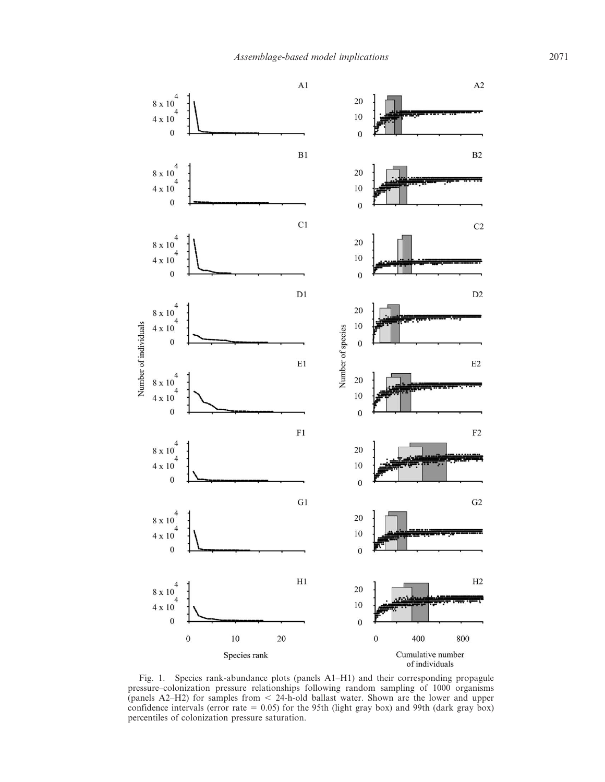



Fig. 1. Species rank-abundance plots (panels A1–H1) and their corresponding propagule pressure–colonization pressure relationships following random sampling of 1000 organisms (panels  $A2-H2$ ) for samples from  $\leq 24$ -h-old ballast water. Shown are the lower and upper confidence intervals (error rate =  $0.05$ ) for the 95th (light gray box) and 99th (dark gray box) percentiles of colonization pressure saturation.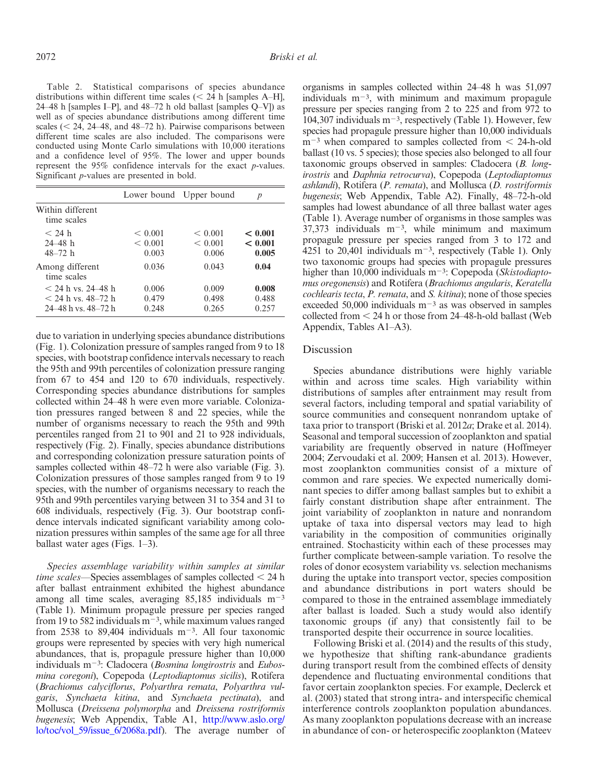Table 2. Statistical comparisons of species abundance distributions within different time scales ( $< 24$  h [samples A–H], 24–48 h [samples I–P], and 48–72 h old ballast [samples Q–V]) as well as of species abundance distributions among different time scales ( $<$  24, 24–48, and 48–72 h). Pairwise comparisons between different time scales are also included. The comparisons were conducted using Monte Carlo simulations with 10,000 iterations and a confidence level of 95%. The lower and upper bounds represent the 95% confidence intervals for the exact p-values. Significant p-values are presented in bold.

|                                                                         |                             | Lower bound Upper bound     | $\boldsymbol{p}$            |
|-------------------------------------------------------------------------|-----------------------------|-----------------------------|-----------------------------|
| Within different<br>time scales                                         |                             |                             |                             |
| $< 24$ h<br>$24 - 48$ h<br>$48 - 72 h$                                  | < 0.001<br>< 0.001<br>0.003 | < 0.001<br>< 0.001<br>0.006 | < 0.001<br>< 0.001<br>0.005 |
| Among different<br>time scales                                          | 0.036                       | 0.043                       | 0.04                        |
| $<$ 24 h vs. 24–48 h<br>$<$ 24 h vs. 48–72 h<br>$24-48$ h vs. $48-72$ h | 0.006<br>0.479<br>0.248     | 0.009<br>0.498<br>0.265     | 0.008<br>0.488<br>0.257     |

due to variation in underlying species abundance distributions (Fig. 1). Colonization pressure of samples ranged from 9 to 18 species, with bootstrap confidence intervals necessary to reach the 95th and 99th percentiles of colonization pressure ranging from 67 to 454 and 120 to 670 individuals, respectively. Corresponding species abundance distributions for samples collected within 24–48 h were even more variable. Colonization pressures ranged between 8 and 22 species, while the number of organisms necessary to reach the 95th and 99th percentiles ranged from 21 to 901 and 21 to 928 individuals, respectively (Fig. 2). Finally, species abundance distributions and corresponding colonization pressure saturation points of samples collected within 48–72 h were also variable (Fig. 3). Colonization pressures of those samples ranged from 9 to 19 species, with the number of organisms necessary to reach the 95th and 99th percentiles varying between 31 to 354 and 31 to 608 individuals, respectively (Fig. 3). Our bootstrap confidence intervals indicated significant variability among colonization pressures within samples of the same age for all three ballast water ages (Figs. 1–3).

Species assemblage variability within samples at similar time scales—Species assemblages of samples collected  $<$  24 h after ballast entrainment exhibited the highest abundance among all time scales, averaging  $85,185$  individuals  $m^{-3}$ (Table 1). Minimum propagule pressure per species ranged from 19 to 582 individuals  $m^{-3}$ , while maximum values ranged from 2538 to 89,404 individuals  $m^{-3}$ . All four taxonomic groups were represented by species with very high numerical abundances, that is, propagule pressure higher than 10,000 individuals  $m^{-3}$ : Cladocera (*Bosmina longirostris* and *Eubos*mina coregoni), Copepoda (Leptodiaptomus sicilis), Rotifera (Brachionus calyciflorus, Polyarthra remata, Polyarthra vulgaris, Synchaeta kitina, and Synchaeta pectinata), and Mollusca (Dreissena polymorpha and Dreissena rostriformis bugenesis; Web Appendix, Table A1, [http://www.aslo.org/](http://www.aslo.org/lo/toc/vol_59/issue_6/2068a.pdf) [lo/toc/vol\\_59/issue\\_6/2068a.pdf\). The average number of](http://www.aslo.org/lo/toc/vol_59/issue_6/2068a.pdf) [organisms in samples collected within 24–48 h was 51,097](http://www.aslo.org/lo/toc/vol_59/issue_6/2068a.pdf) individuals  $m^{-3}$ [, with minimum and maximum propagule](http://www.aslo.org/lo/toc/vol_59/issue_6/2068a.pdf) [pressure per species ranging from 2 to 225 and from 972 to](http://www.aslo.org/lo/toc/vol_59/issue_6/2068a.pdf) 104,307 individuals  $m^{-3}$ [, respectively \(Table 1\). However, few](http://www.aslo.org/lo/toc/vol_59/issue_6/2068a.pdf) [species had propagule pressure higher than 10,000 individuals](http://www.aslo.org/lo/toc/vol_59/issue_6/2068a.pdf)  $m^{-3}$  $m^{-3}$  [when compared to samples collected from](http://www.aslo.org/lo/toc/vol_59/issue_6/2068a.pdf)  $<$  24-h-old [ballast \(10 vs. 5 species\); those species also belonged to all four](http://www.aslo.org/lo/toc/vol_59/issue_6/2068a.pdf) [taxonomic groups observed in samples: Cladocera \(](http://www.aslo.org/lo/toc/vol_59/issue_6/2068a.pdf)B. longirostris and [Daphnia retrocurva](http://www.aslo.org/lo/toc/vol_59/issue_6/2068a.pdf)), Copepoda (Leptodiaptomus ashlandi), Rotifera (P. remata[\), and Mollusca \(](http://www.aslo.org/lo/toc/vol_59/issue_6/2068a.pdf)D. rostriformis bugenesis[; Web Appendix, Table A2\). Finally, 48–72-h-old](http://www.aslo.org/lo/toc/vol_59/issue_6/2068a.pdf) [samples had lowest abundance of all three ballast water ages](http://www.aslo.org/lo/toc/vol_59/issue_6/2068a.pdf) [\(Table 1\). Average number of organisms in those samples was](http://www.aslo.org/lo/toc/vol_59/issue_6/2068a.pdf)  $37,373$  individuals m<sup>-3</sup>, while minimum and maximum [propagule pressure per species ranged from 3 to 172 and](http://www.aslo.org/lo/toc/vol_59/issue_6/2068a.pdf)  $4251$  to 20,401 individuals m<sup>-3</sup>, respectively (Table 1). Only [two taxonomic groups had species with propagule pressures](http://www.aslo.org/lo/toc/vol_59/issue_6/2068a.pdf) higher than 10,000 individuals  $m^{-3}$ : Copepoda (Skistodiaptomus oregonensis) and Rotifera ([Brachionus angularis](http://www.aslo.org/lo/toc/vol_59/issue_6/2068a.pdf), Keratella cochlearis tecta, P. remata, and S. kitina[\); none of those species](http://www.aslo.org/lo/toc/vol_59/issue_6/2068a.pdf) exceeded 50,000 individuals  $m^{-3}$  [as was observed in samples](http://www.aslo.org/lo/toc/vol_59/issue_6/2068a.pdf) collected from  $\leq$  [24 h or those from 24–48-h-old ballast \(Web](http://www.aslo.org/lo/toc/vol_59/issue_6/2068a.pdf) [Appendix, Tables A1–A3\).](http://www.aslo.org/lo/toc/vol_59/issue_6/2068a.pdf)

# Discussion

Species abundance distributions were highly variable within and across time scales. High variability within distributions of samples after entrainment may result from several factors, including temporal and spatial variability of source communities and consequent nonrandom uptake of taxa prior to transport (Briski et al. 2012a; Drake et al. 2014). Seasonal and temporal succession of zooplankton and spatial variability are frequently observed in nature (Hoffmeyer 2004; Zervoudaki et al. 2009; Hansen et al. 2013). However, most zooplankton communities consist of a mixture of common and rare species. We expected numerically dominant species to differ among ballast samples but to exhibit a fairly constant distribution shape after entrainment. The joint variability of zooplankton in nature and nonrandom uptake of taxa into dispersal vectors may lead to high variability in the composition of communities originally entrained. Stochasticity within each of these processes may further complicate between-sample variation. To resolve the roles of donor ecosystem variability vs. selection mechanisms during the uptake into transport vector, species composition and abundance distributions in port waters should be compared to those in the entrained assemblage immediately after ballast is loaded. Such a study would also identify taxonomic groups (if any) that consistently fail to be transported despite their occurrence in source localities.

Following Briski et al. (2014) and the results of this study, we hypothesize that shifting rank-abundance gradients during transport result from the combined effects of density dependence and fluctuating environmental conditions that favor certain zooplankton species. For example, Declerck et al. (2003) stated that strong intra- and interspecific chemical interference controls zooplankton population abundances. As many zooplankton populations decrease with an increase in abundance of con- or heterospecific zooplankton (Mateev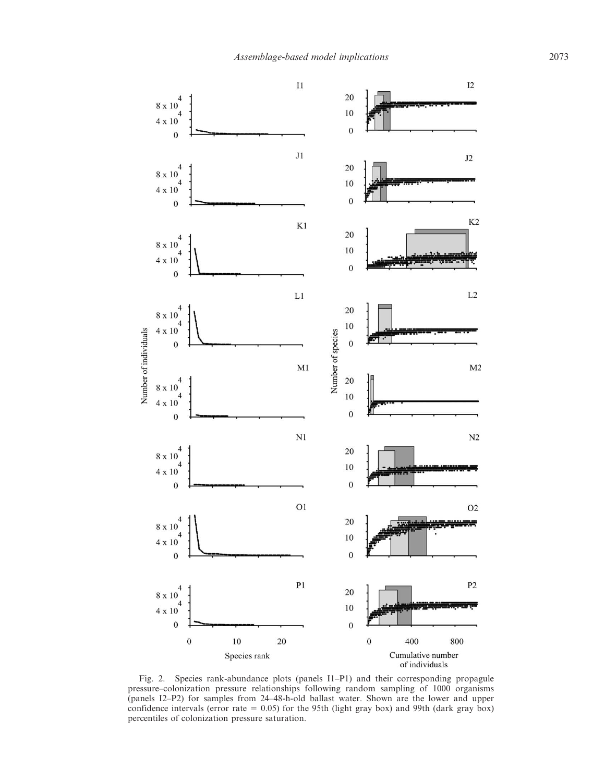

Fig. 2. Species rank-abundance plots (panels I1–P1) and their corresponding propagule pressure–colonization pressure relationships following random sampling of 1000 organisms (panels I2–P2) for samples from 24–48-h-old ballast water. Shown are the lower and upper confidence intervals (error rate  $= 0.05$ ) for the 95th (light gray box) and 99th (dark gray box) percentiles of colonization pressure saturation.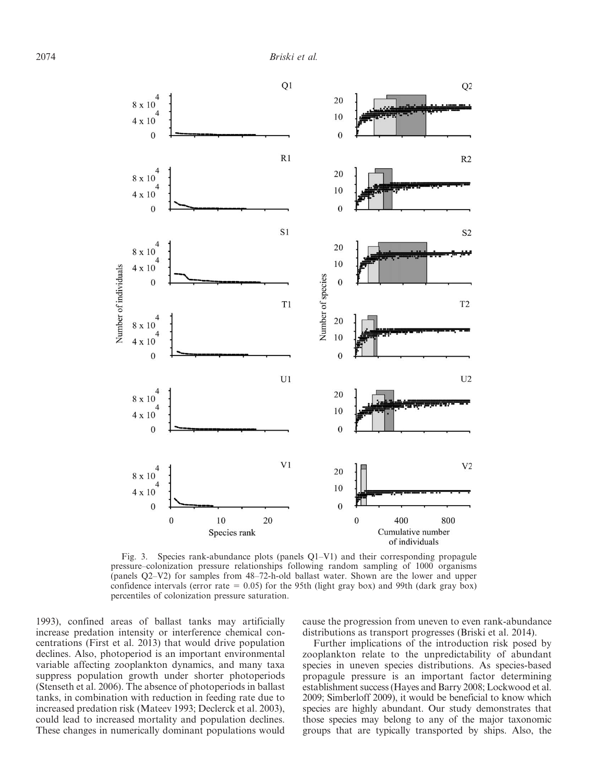

Fig. 3. Species rank-abundance plots (panels Q1–V1) and their corresponding propagule pressure–colonization pressure relationships following random sampling of 1000 organisms (panels Q2–V2) for samples from 48–72-h-old ballast water. Shown are the lower and upper confidence intervals (error rate  $= 0.05$ ) for the 95th (light gray box) and 99th (dark gray box) percentiles of colonization pressure saturation.

1993), confined areas of ballast tanks may artificially increase predation intensity or interference chemical concentrations (First et al. 2013) that would drive population declines. Also, photoperiod is an important environmental variable affecting zooplankton dynamics, and many taxa suppress population growth under shorter photoperiods (Stenseth et al. 2006). The absence of photoperiods in ballast tanks, in combination with reduction in feeding rate due to increased predation risk (Mateev 1993; Declerck et al. 2003), could lead to increased mortality and population declines. These changes in numerically dominant populations would

cause the progression from uneven to even rank-abundance distributions as transport progresses (Briski et al. 2014).

Further implications of the introduction risk posed by zooplankton relate to the unpredictability of abundant species in uneven species distributions. As species-based propagule pressure is an important factor determining establishment success (Hayes and Barry 2008; Lockwood et al. 2009; Simberloff 2009), it would be beneficial to know which species are highly abundant. Our study demonstrates that those species may belong to any of the major taxonomic groups that are typically transported by ships. Also, the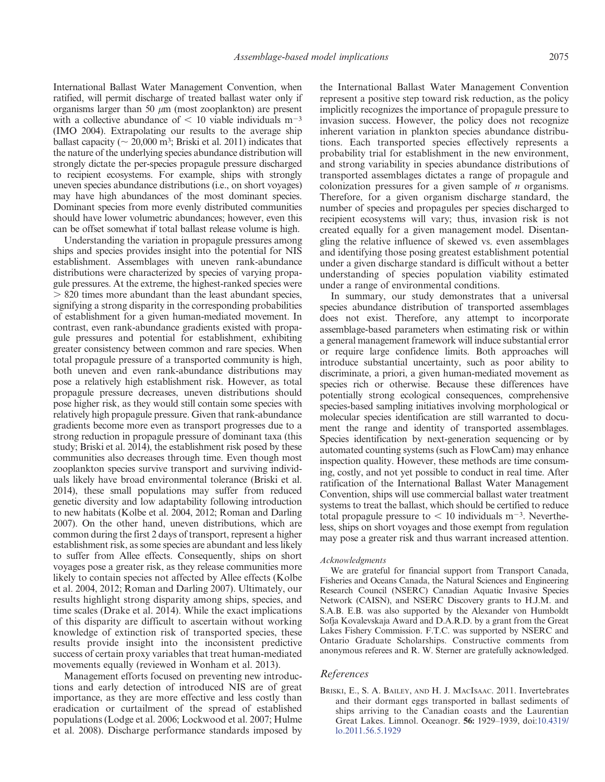International Ballast Water Management Convention, when ratified, will permit discharge of treated ballast water only if organisms larger than 50  $\mu$ m (most zooplankton) are present with a collective abundance of  $< 10$  viable individuals m<sup>-3</sup> (IMO 2004). Extrapolating our results to the average ship ballast capacity ( $\sim 20,000$  m<sup>3</sup>; Briski et al. 2011) indicates that the nature of the underlying species abundance distribution will strongly dictate the per-species propagule pressure discharged to recipient ecosystems. For example, ships with strongly uneven species abundance distributions (i.e., on short voyages) may have high abundances of the most dominant species. Dominant species from more evenly distributed communities should have lower volumetric abundances; however, even this can be offset somewhat if total ballast release volume is high.

Understanding the variation in propagule pressures among ships and species provides insight into the potential for NIS establishment. Assemblages with uneven rank-abundance distributions were characterized by species of varying propagule pressures. At the extreme, the highest-ranked species were  $> 820$  times more abundant than the least abundant species, signifying a strong disparity in the corresponding probabilities of establishment for a given human-mediated movement. In contrast, even rank-abundance gradients existed with propagule pressures and potential for establishment, exhibiting greater consistency between common and rare species. When total propagule pressure of a transported community is high, both uneven and even rank-abundance distributions may pose a relatively high establishment risk. However, as total propagule pressure decreases, uneven distributions should pose higher risk, as they would still contain some species with relatively high propagule pressure. Given that rank-abundance gradients become more even as transport progresses due to a strong reduction in propagule pressure of dominant taxa (this study; Briski et al. 2014), the establishment risk posed by these communities also decreases through time. Even though most zooplankton species survive transport and surviving individuals likely have broad environmental tolerance (Briski et al. 2014), these small populations may suffer from reduced genetic diversity and low adaptability following introduction to new habitats (Kolbe et al. 2004, 2012; Roman and Darling 2007). On the other hand, uneven distributions, which are common during the first 2 days of transport, represent a higher establishment risk, as some species are abundant and less likely to suffer from Allee effects. Consequently, ships on short voyages pose a greater risk, as they release communities more likely to contain species not affected by Allee effects (Kolbe) et al. 2004, 2012; Roman and Darling 2007). Ultimately, our results highlight strong disparity among ships, species, and time scales (Drake et al. 2014). While the exact implications of this disparity are difficult to ascertain without working knowledge of extinction risk of transported species, these results provide insight into the inconsistent predictive success of certain proxy variables that treat human-mediated movements equally (reviewed in Wonham et al. 2013).

Management efforts focused on preventing new introductions and early detection of introduced NIS are of great importance, as they are more effective and less costly than eradication or curtailment of the spread of established populations (Lodge et al. 2006; Lockwood et al. 2007; Hulme et al. 2008). Discharge performance standards imposed by

the International Ballast Water Management Convention represent a positive step toward risk reduction, as the policy implicitly recognizes the importance of propagule pressure to invasion success. However, the policy does not recognize inherent variation in plankton species abundance distributions. Each transported species effectively represents a probability trial for establishment in the new environment, and strong variability in species abundance distributions of transported assemblages dictates a range of propagule and colonization pressures for a given sample of n organisms. Therefore, for a given organism discharge standard, the number of species and propagules per species discharged to recipient ecosystems will vary; thus, invasion risk is not created equally for a given management model. Disentangling the relative influence of skewed vs. even assemblages and identifying those posing greatest establishment potential under a given discharge standard is difficult without a better understanding of species population viability estimated under a range of environmental conditions.

In summary, our study demonstrates that a universal species abundance distribution of transported assemblages does not exist. Therefore, any attempt to incorporate assemblage-based parameters when estimating risk or within a general management framework will induce substantial error or require large confidence limits. Both approaches will introduce substantial uncertainty, such as poor ability to discriminate, a priori, a given human-mediated movement as species rich or otherwise. Because these differences have potentially strong ecological consequences, comprehensive species-based sampling initiatives involving morphological or molecular species identification are still warranted to document the range and identity of transported assemblages. Species identification by next-generation sequencing or by automated counting systems (such as FlowCam) may enhance inspection quality. However, these methods are time consuming, costly, and not yet possible to conduct in real time. After ratification of the International Ballast Water Management Convention, ships will use commercial ballast water treatment systems to treat the ballast, which should be certified to reduce total propagule pressure to  $< 10$  individuals m<sup>-3</sup>. Nevertheless, ships on short voyages and those exempt from regulation may pose a greater risk and thus warrant increased attention.

#### Acknowledgments

We are grateful for financial support from Transport Canada, Fisheries and Oceans Canada, the Natural Sciences and Engineering Research Council (NSERC) Canadian Aquatic Invasive Species Network (CAISN), and NSERC Discovery grants to H.J.M. and S.A.B. E.B. was also supported by the Alexander von Humboldt Sofja Kovalevskaja Award and D.A.R.D. by a grant from the Great Lakes Fishery Commission. F.T.C. was supported by NSERC and Ontario Graduate Scholarships. Constructive comments from anonymous referees and R. W. Sterner are gratefully acknowledged.

## References

BRISKI, E., S. A. BAILEY, AND H. J. MACISAAC. 2011. Invertebrates and their dormant eggs transported in ballast sediments of ships arriving to the Canadian coasts and the Laurentian Great Lakes. Limnol. Oceanogr. 56: 1929–1939[, doi:10.4319/](http://dx.doi.org/10.4319%2Flo.2011.56.5.1929) [lo.2011.56.5.1929](http://dx.doi.org/10.4319%2Flo.2011.56.5.1929)